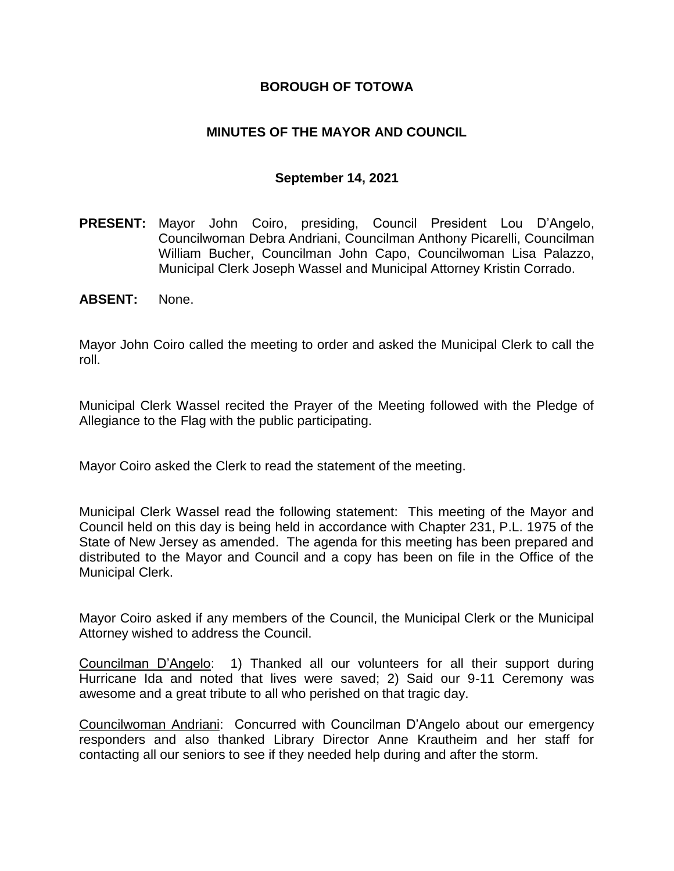### **BOROUGH OF TOTOWA**

## **MINUTES OF THE MAYOR AND COUNCIL**

### **September 14, 2021**

- **PRESENT:** Mayor John Coiro, presiding, Council President Lou D'Angelo, Councilwoman Debra Andriani, Councilman Anthony Picarelli, Councilman William Bucher, Councilman John Capo, Councilwoman Lisa Palazzo, Municipal Clerk Joseph Wassel and Municipal Attorney Kristin Corrado.
- **ABSENT:** None.

Mayor John Coiro called the meeting to order and asked the Municipal Clerk to call the roll.

Municipal Clerk Wassel recited the Prayer of the Meeting followed with the Pledge of Allegiance to the Flag with the public participating.

Mayor Coiro asked the Clerk to read the statement of the meeting.

Municipal Clerk Wassel read the following statement: This meeting of the Mayor and Council held on this day is being held in accordance with Chapter 231, P.L. 1975 of the State of New Jersey as amended. The agenda for this meeting has been prepared and distributed to the Mayor and Council and a copy has been on file in the Office of the Municipal Clerk.

Mayor Coiro asked if any members of the Council, the Municipal Clerk or the Municipal Attorney wished to address the Council.

Councilman D'Angelo: 1) Thanked all our volunteers for all their support during Hurricane Ida and noted that lives were saved; 2) Said our 9-11 Ceremony was awesome and a great tribute to all who perished on that tragic day.

Councilwoman Andriani: Concurred with Councilman D'Angelo about our emergency responders and also thanked Library Director Anne Krautheim and her staff for contacting all our seniors to see if they needed help during and after the storm.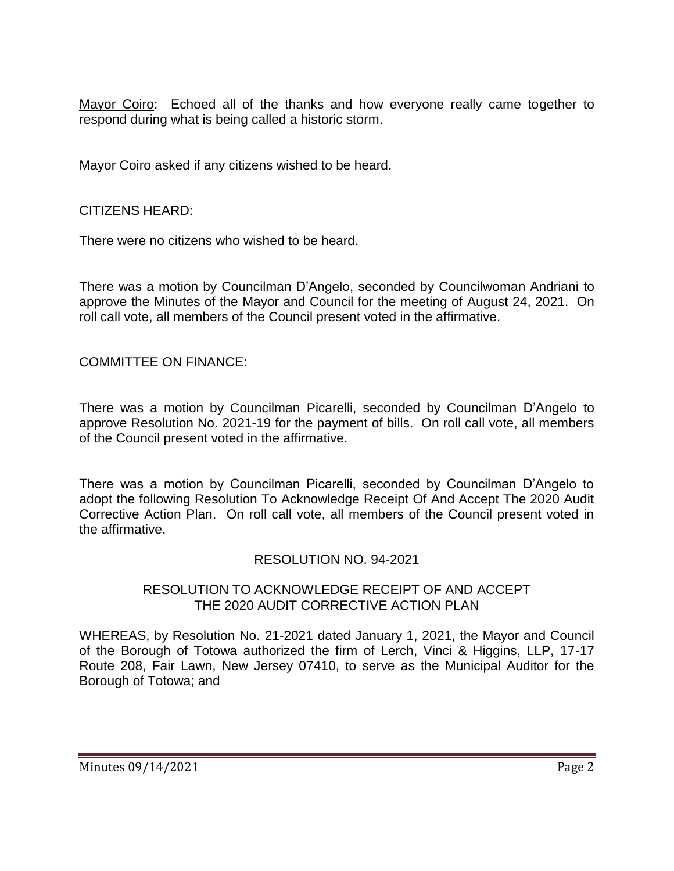Mayor Coiro: Echoed all of the thanks and how everyone really came together to respond during what is being called a historic storm.

Mayor Coiro asked if any citizens wished to be heard.

### CITIZENS HEARD:

There were no citizens who wished to be heard.

There was a motion by Councilman D'Angelo, seconded by Councilwoman Andriani to approve the Minutes of the Mayor and Council for the meeting of August 24, 2021. On roll call vote, all members of the Council present voted in the affirmative.

COMMITTEE ON FINANCE:

There was a motion by Councilman Picarelli, seconded by Councilman D'Angelo to approve Resolution No. 2021-19 for the payment of bills. On roll call vote, all members of the Council present voted in the affirmative.

There was a motion by Councilman Picarelli, seconded by Councilman D'Angelo to adopt the following Resolution To Acknowledge Receipt Of And Accept The 2020 Audit Corrective Action Plan. On roll call vote, all members of the Council present voted in the affirmative.

### RESOLUTION NO. 94-2021

### RESOLUTION TO ACKNOWLEDGE RECEIPT OF AND ACCEPT THE 2020 AUDIT CORRECTIVE ACTION PLAN

WHEREAS, by Resolution No. 21-2021 dated January 1, 2021, the Mayor and Council of the Borough of Totowa authorized the firm of Lerch, Vinci & Higgins, LLP, 17-17 Route 208, Fair Lawn, New Jersey 07410, to serve as the Municipal Auditor for the Borough of Totowa; and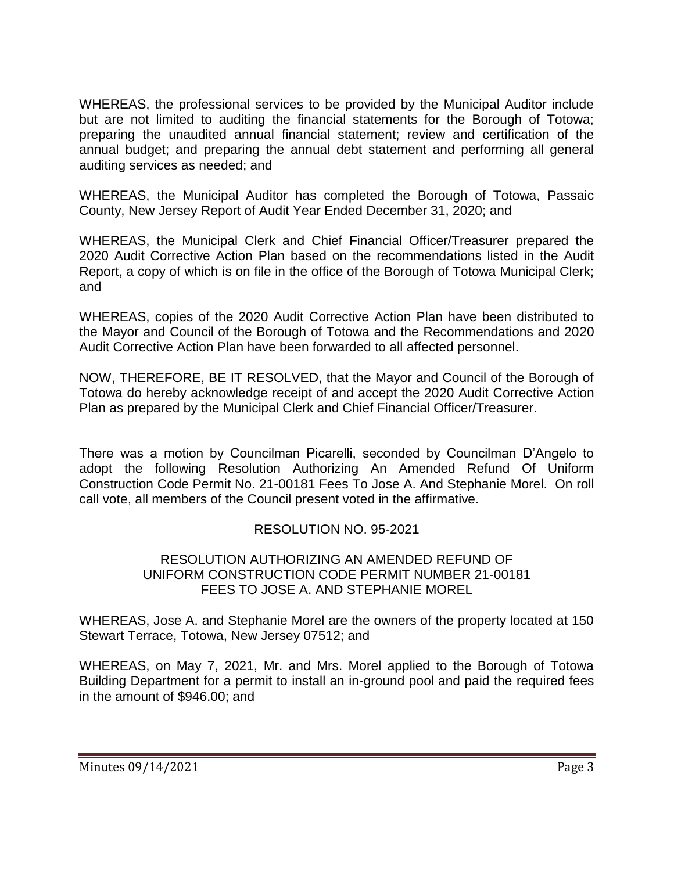WHEREAS, the professional services to be provided by the Municipal Auditor include but are not limited to auditing the financial statements for the Borough of Totowa; preparing the unaudited annual financial statement; review and certification of the annual budget; and preparing the annual debt statement and performing all general auditing services as needed; and

WHEREAS, the Municipal Auditor has completed the Borough of Totowa, Passaic County, New Jersey Report of Audit Year Ended December 31, 2020; and

WHEREAS, the Municipal Clerk and Chief Financial Officer/Treasurer prepared the 2020 Audit Corrective Action Plan based on the recommendations listed in the Audit Report, a copy of which is on file in the office of the Borough of Totowa Municipal Clerk; and

WHEREAS, copies of the 2020 Audit Corrective Action Plan have been distributed to the Mayor and Council of the Borough of Totowa and the Recommendations and 2020 Audit Corrective Action Plan have been forwarded to all affected personnel.

NOW, THEREFORE, BE IT RESOLVED, that the Mayor and Council of the Borough of Totowa do hereby acknowledge receipt of and accept the 2020 Audit Corrective Action Plan as prepared by the Municipal Clerk and Chief Financial Officer/Treasurer.

There was a motion by Councilman Picarelli, seconded by Councilman D'Angelo to adopt the following Resolution Authorizing An Amended Refund Of Uniform Construction Code Permit No. 21-00181 Fees To Jose A. And Stephanie Morel. On roll call vote, all members of the Council present voted in the affirmative.

# RESOLUTION NO. 95-2021

### RESOLUTION AUTHORIZING AN AMENDED REFUND OF UNIFORM CONSTRUCTION CODE PERMIT NUMBER 21-00181 FEES TO JOSE A. AND STEPHANIE MOREL

WHEREAS, Jose A. and Stephanie Morel are the owners of the property located at 150 Stewart Terrace, Totowa, New Jersey 07512; and

WHEREAS, on May 7, 2021, Mr. and Mrs. Morel applied to the Borough of Totowa Building Department for a permit to install an in-ground pool and paid the required fees in the amount of \$946.00; and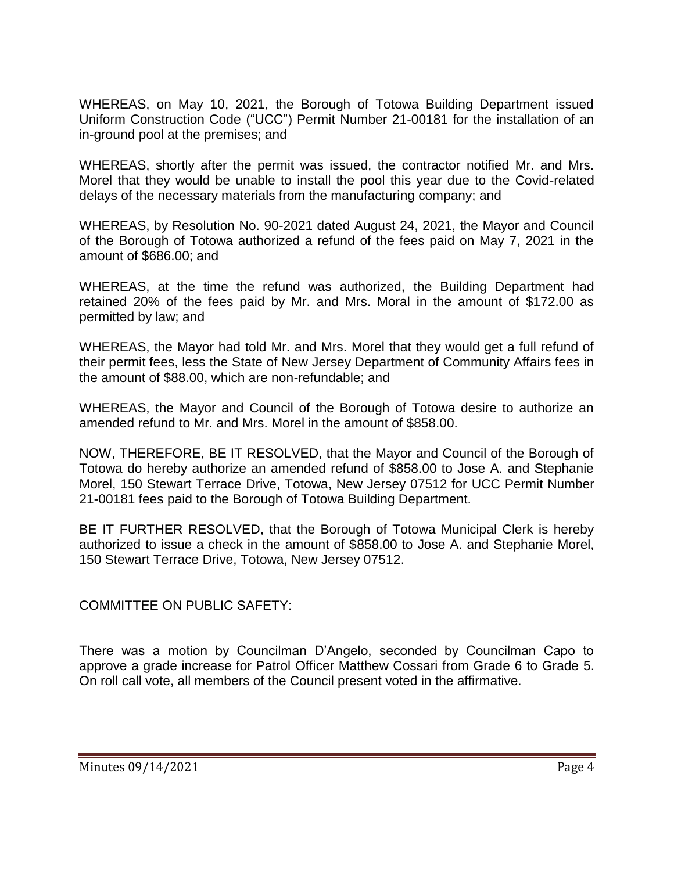WHEREAS, on May 10, 2021, the Borough of Totowa Building Department issued Uniform Construction Code ("UCC") Permit Number 21-00181 for the installation of an in-ground pool at the premises; and

WHEREAS, shortly after the permit was issued, the contractor notified Mr. and Mrs. Morel that they would be unable to install the pool this year due to the Covid-related delays of the necessary materials from the manufacturing company; and

WHEREAS, by Resolution No. 90-2021 dated August 24, 2021, the Mayor and Council of the Borough of Totowa authorized a refund of the fees paid on May 7, 2021 in the amount of \$686.00; and

WHEREAS, at the time the refund was authorized, the Building Department had retained 20% of the fees paid by Mr. and Mrs. Moral in the amount of \$172.00 as permitted by law; and

WHEREAS, the Mayor had told Mr. and Mrs. Morel that they would get a full refund of their permit fees, less the State of New Jersey Department of Community Affairs fees in the amount of \$88.00, which are non-refundable; and

WHEREAS, the Mayor and Council of the Borough of Totowa desire to authorize an amended refund to Mr. and Mrs. Morel in the amount of \$858.00.

NOW, THEREFORE, BE IT RESOLVED, that the Mayor and Council of the Borough of Totowa do hereby authorize an amended refund of \$858.00 to Jose A. and Stephanie Morel, 150 Stewart Terrace Drive, Totowa, New Jersey 07512 for UCC Permit Number 21-00181 fees paid to the Borough of Totowa Building Department.

BE IT FURTHER RESOLVED, that the Borough of Totowa Municipal Clerk is hereby authorized to issue a check in the amount of \$858.00 to Jose A. and Stephanie Morel, 150 Stewart Terrace Drive, Totowa, New Jersey 07512.

COMMITTEE ON PUBLIC SAFETY:

There was a motion by Councilman D'Angelo, seconded by Councilman Capo to approve a grade increase for Patrol Officer Matthew Cossari from Grade 6 to Grade 5. On roll call vote, all members of the Council present voted in the affirmative.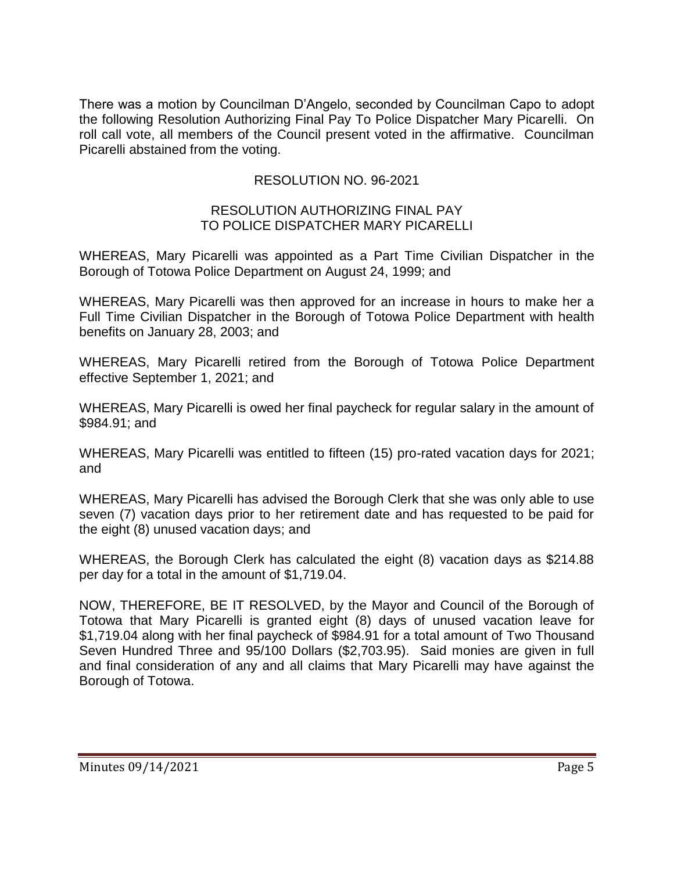There was a motion by Councilman D'Angelo, seconded by Councilman Capo to adopt the following Resolution Authorizing Final Pay To Police Dispatcher Mary Picarelli. On roll call vote, all members of the Council present voted in the affirmative. Councilman Picarelli abstained from the voting.

# RESOLUTION NO. 96-2021

#### RESOLUTION AUTHORIZING FINAL PAY TO POLICE DISPATCHER MARY PICARELLI

WHEREAS, Mary Picarelli was appointed as a Part Time Civilian Dispatcher in the Borough of Totowa Police Department on August 24, 1999; and

WHEREAS, Mary Picarelli was then approved for an increase in hours to make her a Full Time Civilian Dispatcher in the Borough of Totowa Police Department with health benefits on January 28, 2003; and

WHEREAS, Mary Picarelli retired from the Borough of Totowa Police Department effective September 1, 2021; and

WHEREAS, Mary Picarelli is owed her final paycheck for regular salary in the amount of \$984.91; and

WHEREAS, Mary Picarelli was entitled to fifteen (15) pro-rated vacation days for 2021; and

WHEREAS, Mary Picarelli has advised the Borough Clerk that she was only able to use seven (7) vacation days prior to her retirement date and has requested to be paid for the eight (8) unused vacation days; and

WHEREAS, the Borough Clerk has calculated the eight (8) vacation days as \$214.88 per day for a total in the amount of \$1,719.04.

NOW, THEREFORE, BE IT RESOLVED, by the Mayor and Council of the Borough of Totowa that Mary Picarelli is granted eight (8) days of unused vacation leave for \$1,719.04 along with her final paycheck of \$984.91 for a total amount of Two Thousand Seven Hundred Three and 95/100 Dollars (\$2,703.95). Said monies are given in full and final consideration of any and all claims that Mary Picarelli may have against the Borough of Totowa.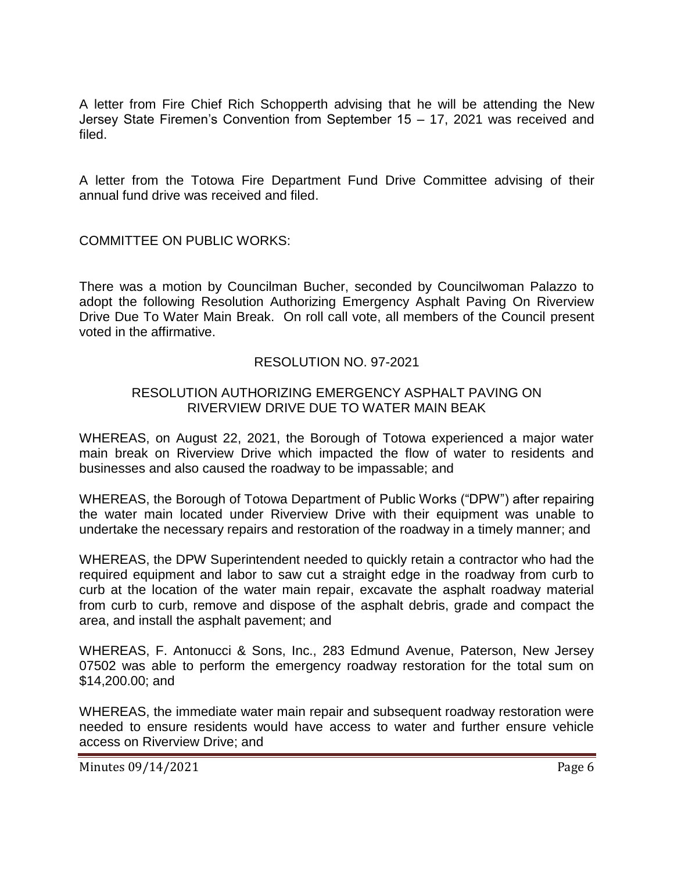A letter from Fire Chief Rich Schopperth advising that he will be attending the New Jersey State Firemen's Convention from September 15 – 17, 2021 was received and filed.

A letter from the Totowa Fire Department Fund Drive Committee advising of their annual fund drive was received and filed.

COMMITTEE ON PUBLIC WORKS:

There was a motion by Councilman Bucher, seconded by Councilwoman Palazzo to adopt the following Resolution Authorizing Emergency Asphalt Paving On Riverview Drive Due To Water Main Break. On roll call vote, all members of the Council present voted in the affirmative.

### RESOLUTION NO. 97-2021

### RESOLUTION AUTHORIZING EMERGENCY ASPHALT PAVING ON RIVERVIEW DRIVE DUE TO WATER MAIN BEAK

WHEREAS, on August 22, 2021, the Borough of Totowa experienced a major water main break on Riverview Drive which impacted the flow of water to residents and businesses and also caused the roadway to be impassable; and

WHEREAS, the Borough of Totowa Department of Public Works ("DPW") after repairing the water main located under Riverview Drive with their equipment was unable to undertake the necessary repairs and restoration of the roadway in a timely manner; and

WHEREAS, the DPW Superintendent needed to quickly retain a contractor who had the required equipment and labor to saw cut a straight edge in the roadway from curb to curb at the location of the water main repair, excavate the asphalt roadway material from curb to curb, remove and dispose of the asphalt debris, grade and compact the area, and install the asphalt pavement; and

WHEREAS, F. Antonucci & Sons, Inc., 283 Edmund Avenue, Paterson, New Jersey 07502 was able to perform the emergency roadway restoration for the total sum on \$14,200.00; and

WHEREAS, the immediate water main repair and subsequent roadway restoration were needed to ensure residents would have access to water and further ensure vehicle access on Riverview Drive; and

Minutes 09/14/2021 **Page 6**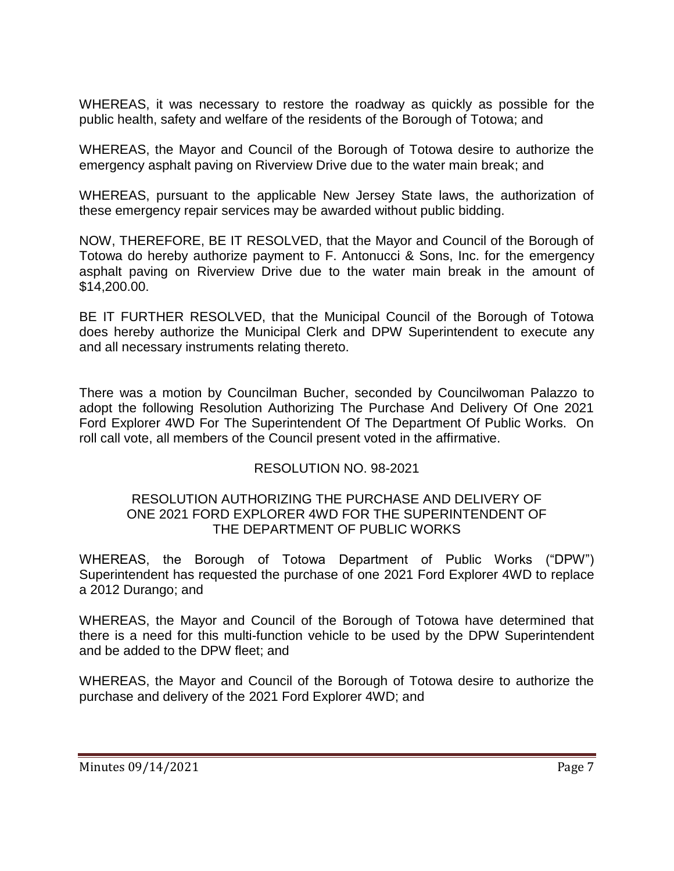WHEREAS, it was necessary to restore the roadway as quickly as possible for the public health, safety and welfare of the residents of the Borough of Totowa; and

WHEREAS, the Mayor and Council of the Borough of Totowa desire to authorize the emergency asphalt paving on Riverview Drive due to the water main break; and

WHEREAS, pursuant to the applicable New Jersey State laws, the authorization of these emergency repair services may be awarded without public bidding.

NOW, THEREFORE, BE IT RESOLVED, that the Mayor and Council of the Borough of Totowa do hereby authorize payment to F. Antonucci & Sons, Inc. for the emergency asphalt paving on Riverview Drive due to the water main break in the amount of \$14,200.00.

BE IT FURTHER RESOLVED, that the Municipal Council of the Borough of Totowa does hereby authorize the Municipal Clerk and DPW Superintendent to execute any and all necessary instruments relating thereto.

There was a motion by Councilman Bucher, seconded by Councilwoman Palazzo to adopt the following Resolution Authorizing The Purchase And Delivery Of One 2021 Ford Explorer 4WD For The Superintendent Of The Department Of Public Works. On roll call vote, all members of the Council present voted in the affirmative.

# RESOLUTION NO. 98-2021

### RESOLUTION AUTHORIZING THE PURCHASE AND DELIVERY OF ONE 2021 FORD EXPLORER 4WD FOR THE SUPERINTENDENT OF THE DEPARTMENT OF PUBLIC WORKS

WHEREAS, the Borough of Totowa Department of Public Works ("DPW") Superintendent has requested the purchase of one 2021 Ford Explorer 4WD to replace a 2012 Durango; and

WHEREAS, the Mayor and Council of the Borough of Totowa have determined that there is a need for this multi-function vehicle to be used by the DPW Superintendent and be added to the DPW fleet; and

WHEREAS, the Mayor and Council of the Borough of Totowa desire to authorize the purchase and delivery of the 2021 Ford Explorer 4WD; and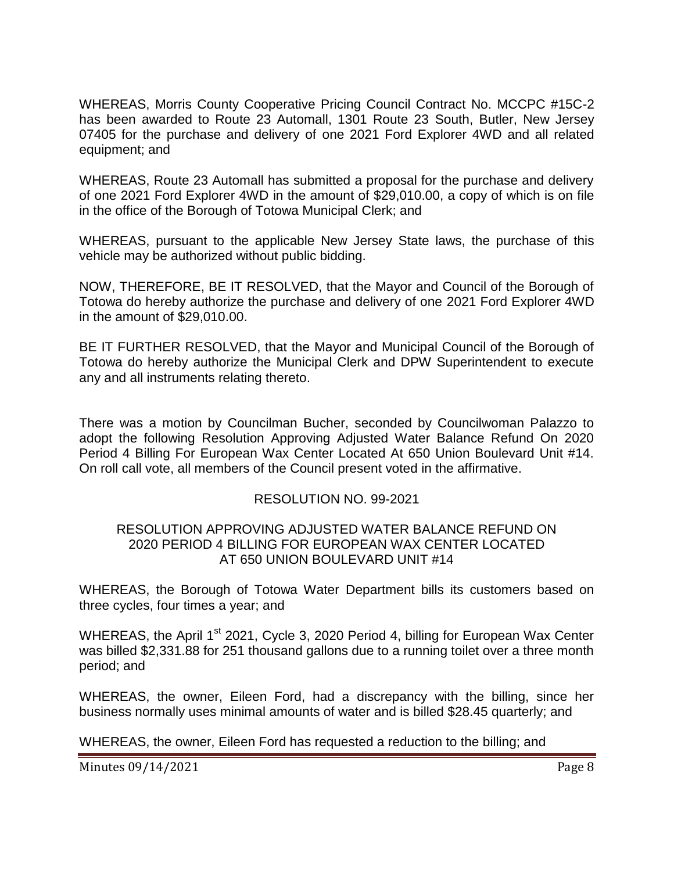WHEREAS, Morris County Cooperative Pricing Council Contract No. MCCPC #15C-2 has been awarded to Route 23 Automall, 1301 Route 23 South, Butler, New Jersey 07405 for the purchase and delivery of one 2021 Ford Explorer 4WD and all related equipment; and

WHEREAS, Route 23 Automall has submitted a proposal for the purchase and delivery of one 2021 Ford Explorer 4WD in the amount of \$29,010.00, a copy of which is on file in the office of the Borough of Totowa Municipal Clerk; and

WHEREAS, pursuant to the applicable New Jersey State laws, the purchase of this vehicle may be authorized without public bidding.

NOW, THEREFORE, BE IT RESOLVED, that the Mayor and Council of the Borough of Totowa do hereby authorize the purchase and delivery of one 2021 Ford Explorer 4WD in the amount of \$29,010.00.

BE IT FURTHER RESOLVED, that the Mayor and Municipal Council of the Borough of Totowa do hereby authorize the Municipal Clerk and DPW Superintendent to execute any and all instruments relating thereto.

There was a motion by Councilman Bucher, seconded by Councilwoman Palazzo to adopt the following Resolution Approving Adjusted Water Balance Refund On 2020 Period 4 Billing For European Wax Center Located At 650 Union Boulevard Unit #14. On roll call vote, all members of the Council present voted in the affirmative.

### RESOLUTION NO. 99-2021

### RESOLUTION APPROVING ADJUSTED WATER BALANCE REFUND ON 2020 PERIOD 4 BILLING FOR EUROPEAN WAX CENTER LOCATED AT 650 UNION BOULEVARD UNIT #14

WHEREAS, the Borough of Totowa Water Department bills its customers based on three cycles, four times a year; and

WHEREAS, the April  $1<sup>st</sup>$  2021, Cycle 3, 2020 Period 4, billing for European Wax Center was billed \$2,331.88 for 251 thousand gallons due to a running toilet over a three month period; and

WHEREAS, the owner, Eileen Ford, had a discrepancy with the billing, since her business normally uses minimal amounts of water and is billed \$28.45 quarterly; and

WHEREAS, the owner, Eileen Ford has requested a reduction to the billing; and

Minutes 09/14/2021 **Page 8**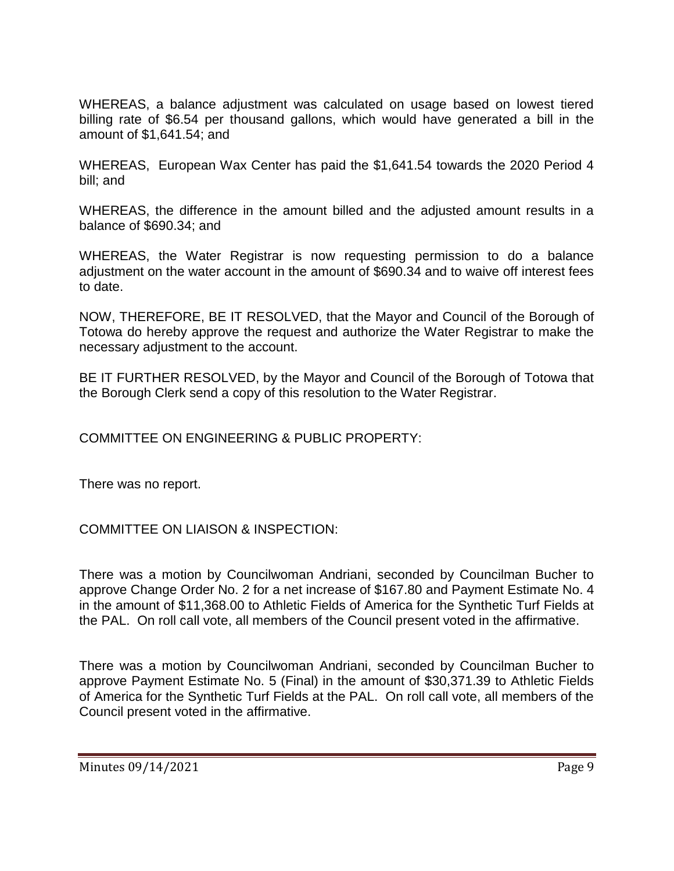WHEREAS, a balance adjustment was calculated on usage based on lowest tiered billing rate of \$6.54 per thousand gallons, which would have generated a bill in the amount of \$1,641.54; and

WHEREAS, European Wax Center has paid the \$1,641.54 towards the 2020 Period 4 bill; and

WHEREAS, the difference in the amount billed and the adjusted amount results in a balance of \$690.34; and

WHEREAS, the Water Registrar is now requesting permission to do a balance adjustment on the water account in the amount of \$690.34 and to waive off interest fees to date.

NOW, THEREFORE, BE IT RESOLVED, that the Mayor and Council of the Borough of Totowa do hereby approve the request and authorize the Water Registrar to make the necessary adjustment to the account.

BE IT FURTHER RESOLVED, by the Mayor and Council of the Borough of Totowa that the Borough Clerk send a copy of this resolution to the Water Registrar.

COMMITTEE ON ENGINEERING & PUBLIC PROPERTY:

There was no report.

COMMITTEE ON LIAISON & INSPECTION:

There was a motion by Councilwoman Andriani, seconded by Councilman Bucher to approve Change Order No. 2 for a net increase of \$167.80 and Payment Estimate No. 4 in the amount of \$11,368.00 to Athletic Fields of America for the Synthetic Turf Fields at the PAL. On roll call vote, all members of the Council present voted in the affirmative.

There was a motion by Councilwoman Andriani, seconded by Councilman Bucher to approve Payment Estimate No. 5 (Final) in the amount of \$30,371.39 to Athletic Fields of America for the Synthetic Turf Fields at the PAL. On roll call vote, all members of the Council present voted in the affirmative.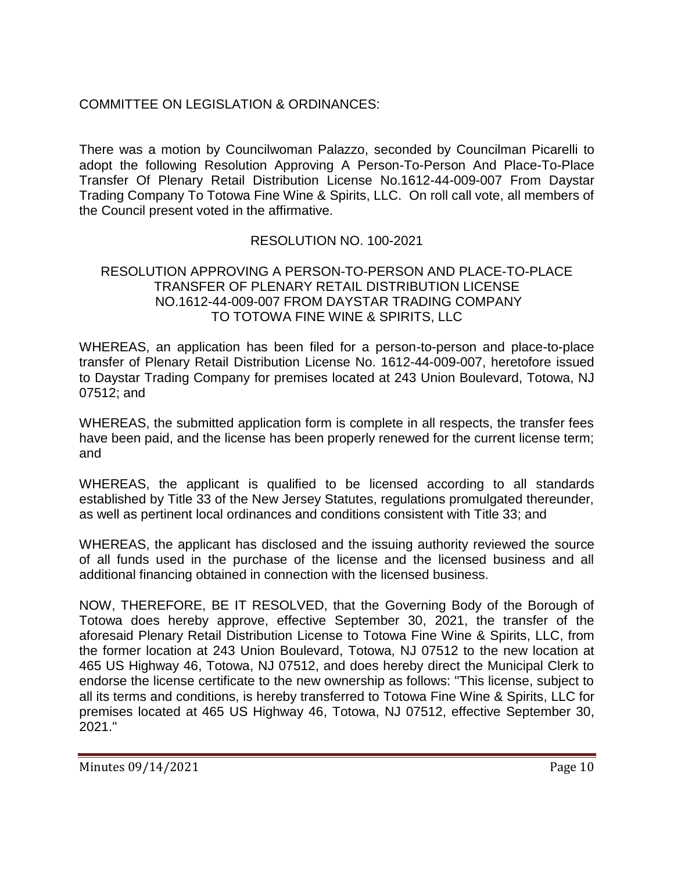# COMMITTEE ON LEGISLATION & ORDINANCES:

There was a motion by Councilwoman Palazzo, seconded by Councilman Picarelli to adopt the following Resolution Approving A Person-To-Person And Place-To-Place Transfer Of Plenary Retail Distribution License No.1612-44-009-007 From Daystar Trading Company To Totowa Fine Wine & Spirits, LLC. On roll call vote, all members of the Council present voted in the affirmative.

### RESOLUTION NO. 100-2021

### RESOLUTION APPROVING A PERSON-TO-PERSON AND PLACE-TO-PLACE TRANSFER OF PLENARY RETAIL DISTRIBUTION LICENSE NO.1612-44-009-007 FROM DAYSTAR TRADING COMPANY TO TOTOWA FINE WINE & SPIRITS, LLC

WHEREAS, an application has been filed for a person-to-person and place-to-place transfer of Plenary Retail Distribution License No. 1612-44-009-007, heretofore issued to Daystar Trading Company for premises located at 243 Union Boulevard, Totowa, NJ 07512; and

WHEREAS, the submitted application form is complete in all respects, the transfer fees have been paid, and the license has been properly renewed for the current license term; and

WHEREAS, the applicant is qualified to be licensed according to all standards established by Title 33 of the New Jersey Statutes, regulations promulgated thereunder, as well as pertinent local ordinances and conditions consistent with Title 33; and

WHEREAS, the applicant has disclosed and the issuing authority reviewed the source of all funds used in the purchase of the license and the licensed business and all additional financing obtained in connection with the licensed business.

NOW, THEREFORE, BE IT RESOLVED, that the Governing Body of the Borough of Totowa does hereby approve, effective September 30, 2021, the transfer of the aforesaid Plenary Retail Distribution License to Totowa Fine Wine & Spirits, LLC, from the former location at 243 Union Boulevard, Totowa, NJ 07512 to the new location at 465 US Highway 46, Totowa, NJ 07512, and does hereby direct the Municipal Clerk to endorse the license certificate to the new ownership as follows: "This license, subject to all its terms and conditions, is hereby transferred to Totowa Fine Wine & Spirits, LLC for premises located at 465 US Highway 46, Totowa, NJ 07512, effective September 30, 2021."